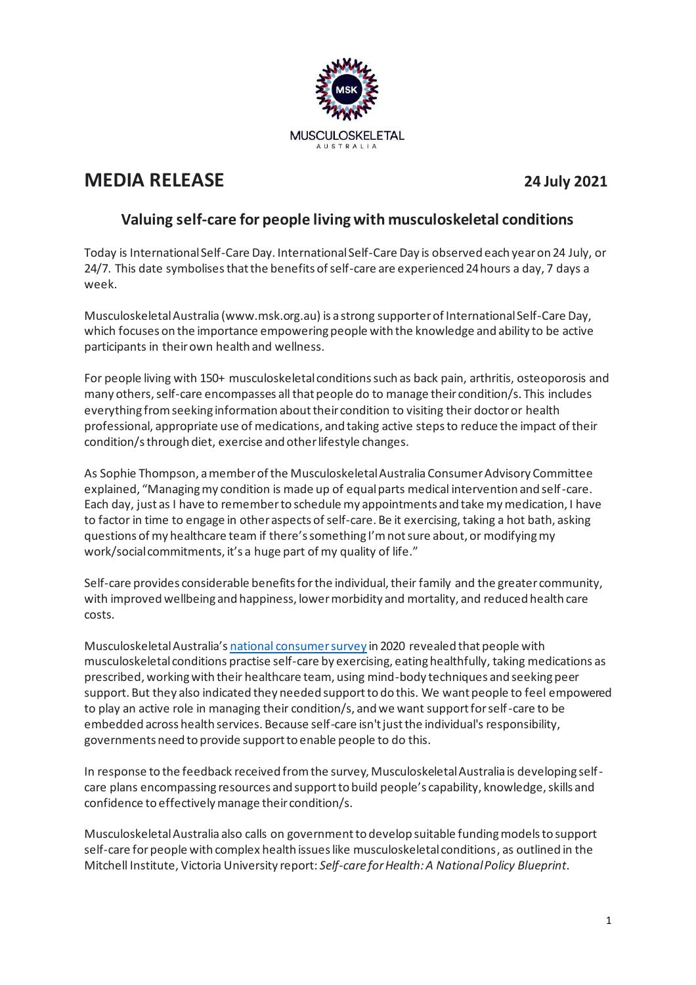

# **MEDIA RELEASE 24 July 2021**

# **Valuing self-care for people living with musculoskeletal conditions**

Today is International Self-Care Day. International Self-Care Day is observed each year on 24 July, or 24/7. This date symbolises that the benefits of self-care are experienced 24 hours a day, 7 days a week.

Musculoskeletal Australia (www.msk.org.au) is a strong supporter of International Self-Care Day, which focuses on the importance empowering people with the knowledge and ability to be active participants in their own health and wellness.

For people living with 150+ musculoskeletal conditions such as back pain, arthritis, osteoporosis and many others, self-care encompasses all that people do to manage their condition/s. This includes everything from seeking information about their condition to visiting their doctor or health professional, appropriate use of medications, and taking active steps to reduce the impact of their condition/s through diet, exercise and other lifestyle changes.

As Sophie Thompson, a member of the Musculoskeletal Australia Consumer Advisory Committee explained, "Managing my condition is made up of equal parts medical intervention and self-care. Each day, just as I have to remember to schedule my appointments and take my medication, I have to factor in time to engage in other aspects of self-care. Be it exercising, taking a hot bath, asking questions of my healthcare team if there's something I'm not sure about, or modifying my work/social commitments, it's a huge part of my quality of life."

Self-care provides considerable benefits for the individual, their family and the greater community, with improved wellbeing and happiness, lower morbidity and mortality, and reduced health care costs.

Musculoskeletal Australia's [national consumer survey](https://www.msk.org.au/wp-content/uploads/2021/03/MSK3493-VX-Survey-report-V10-Hi-RES.pdf) in 2020 revealed that people with musculoskeletal conditions practise self-care by exercising, eating healthfully, taking medications as prescribed, working with their healthcare team, using mind-body techniques and seeking peer support. But they also indicated they needed support to do this. We want people to feel empowered to play an active role in managing their condition/s, and we want support for self-care to be embedded across health services. Because self-care isn't just the individual's responsibility, governments need to provide support to enable people to do this.

In response to the feedback received from the survey, Musculoskeletal Australia is developing selfcare plans encompassing resources and support to build people's capability, knowledge, skills and confidence to effectively manage their condition/s.

Musculoskeletal Australia also calls on government to develop suitable funding models to support self-care for people with complex health issues like musculoskeletal conditions, as outlined in the Mitchell Institute, Victoria University report: *Self-care for Health: A National Policy Blueprint*.